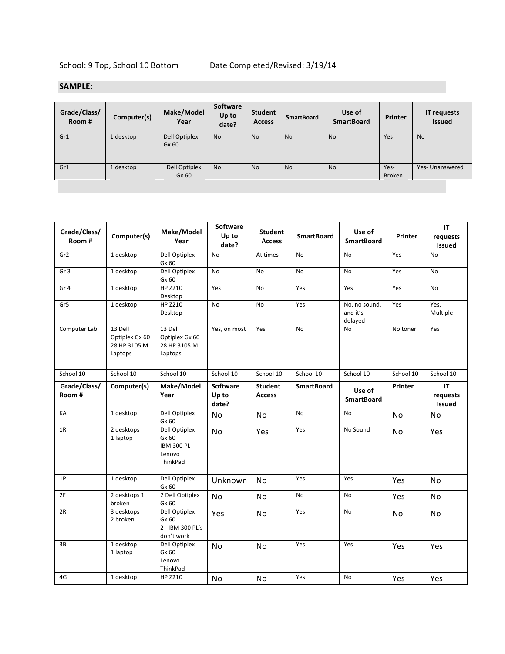## **SAMPLE:**

| Grade/Class/<br>Room # | Computer(s) | Make/Model<br>Year     | Software<br>Up to<br>date? | Student<br>Access | <b>SmartBoard</b> | Use of<br><b>SmartBoard</b> | Printer               | <b>IT requests</b><br><b>Issued</b> |
|------------------------|-------------|------------------------|----------------------------|-------------------|-------------------|-----------------------------|-----------------------|-------------------------------------|
| Gr1                    | 1 desktop   | Dell Optiplex<br>Gx 60 | <b>No</b>                  | <b>No</b>         | <b>No</b>         | <b>No</b>                   | Yes                   | <b>No</b>                           |
| Gr1                    | 1 desktop   | Dell Optiplex<br>Gx 60 | <b>No</b>                  | <b>No</b>         | <b>No</b>         | <b>No</b>                   | Yes-<br><b>Broken</b> | Yes- Unanswered                     |
|                        |             |                        |                            |                   |                   |                             |                       |                                     |

| Grade/Class/<br>Room # | Computer(s)                                          | Make/Model<br>Year                                                | Software<br>Up to<br>date?        | <b>Student</b><br><b>Access</b> | <b>SmartBoard</b> | Use of<br><b>SmartBoard</b>          | Printer   | IT<br>requests<br><b>Issued</b> |
|------------------------|------------------------------------------------------|-------------------------------------------------------------------|-----------------------------------|---------------------------------|-------------------|--------------------------------------|-----------|---------------------------------|
| Gr <sub>2</sub>        | 1 desktop                                            | Dell Optiplex<br>Gx 60                                            | <b>No</b>                         | At times                        | <b>No</b>         | <b>No</b>                            | Yes       | <b>No</b>                       |
| Gr <sub>3</sub>        | 1 desktop                                            | Dell Optiplex<br>Gx 60                                            | <b>No</b>                         | <b>No</b>                       | <b>No</b>         | <b>No</b>                            | Yes       | <b>No</b>                       |
| Gr <sub>4</sub>        | 1 desktop                                            | HP Z210<br>Desktop                                                | Yes                               | <b>No</b>                       | Yes               | Yes                                  | Yes       | <b>No</b>                       |
| Gr5                    | 1 desktop                                            | HP Z210<br>Desktop                                                | <b>No</b>                         | <b>No</b>                       | Yes               | No, no sound,<br>and it's<br>delayed | Yes       | Yes,<br>Multiple                |
| Computer Lab           | 13 Dell<br>Optiplex Gx 60<br>28 HP 3105 M<br>Laptops | 13 Dell<br>Optiplex Gx 60<br>28 HP 3105 M<br>Laptops              | Yes, on most                      | Yes                             | No                | No                                   | No toner  | Yes                             |
| School 10              | School 10                                            | School 10                                                         | School 10                         | School 10                       | School 10         | School 10                            | School 10 | School 10                       |
|                        |                                                      |                                                                   |                                   |                                 |                   |                                      |           |                                 |
| Grade/Class/<br>Room#  | Computer(s)                                          | Make/Model<br>Year                                                | <b>Software</b><br>Up to<br>date? | <b>Student</b><br><b>Access</b> | <b>SmartBoard</b> | Use of<br><b>SmartBoard</b>          | Printer   | <b>IT</b><br>requests<br>Issued |
| КA                     | 1 desktop                                            | Dell Optiplex<br>Gx 60                                            | No                                | No                              | No                | No                                   | No        | No                              |
| 1R                     | 2 desktops<br>1 laptop                               | Dell Optiplex<br>Gx 60<br><b>IBM 300 PL</b><br>Lenovo<br>ThinkPad | No                                | Yes                             | Yes               | No Sound                             | No        | Yes                             |
| 1P                     | 1 desktop                                            | Dell Optiplex<br>Gx 60                                            | Unknown                           | No                              | Yes               | Yes                                  | Yes       | No                              |
| 2F                     | 2 desktops 1<br>broken                               | 2 Dell Optiplex<br>Gx 60                                          | No                                | No                              | No                | <b>No</b>                            | Yes       | No                              |
| 2R                     | 3 desktops<br>2 broken                               | Dell Optiplex<br>Gx 60<br>2-IBM 300 PL's<br>don't work            | Yes                               | No                              | Yes               | <b>No</b>                            | No        | No                              |
| 3B                     | 1 desktop<br>1 laptop                                | Dell Optiplex<br>Gx 60<br>Lenovo<br>ThinkPad                      | No                                | No                              | Yes               | Yes                                  | Yes       | Yes                             |
| 4G                     | 1 desktop                                            | HP Z210                                                           | No                                | No                              | Yes               | No                                   | Yes       | Yes                             |